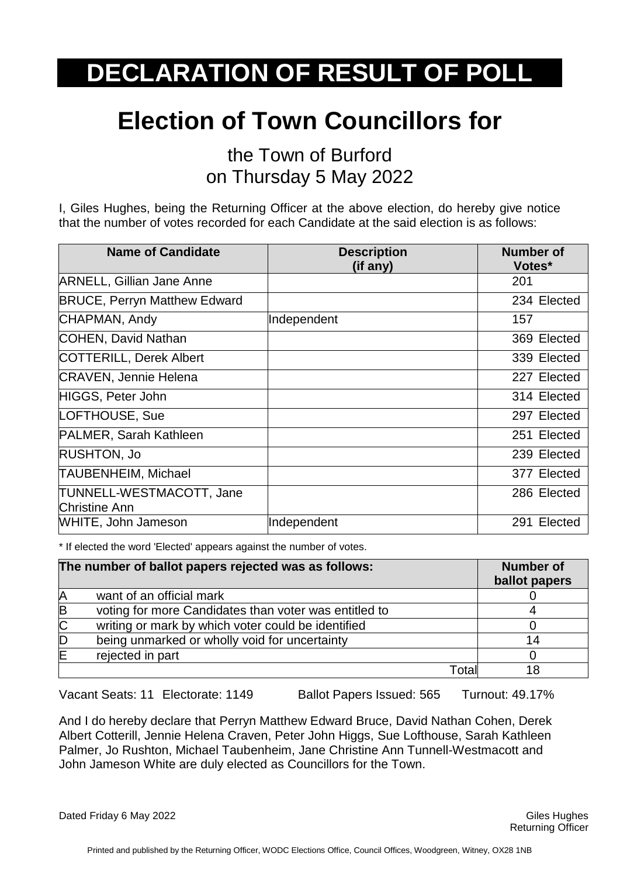## **Election of Town Councillors for**

the Town of Burford on Thursday 5 May 2022

I, Giles Hughes, being the Returning Officer at the above election, do hereby give notice that the number of votes recorded for each Candidate at the said election is as follows:

| <b>Name of Candidate</b>                  | <b>Description</b><br>(if any) | <b>Number of</b><br>Votes* |
|-------------------------------------------|--------------------------------|----------------------------|
| <b>ARNELL, Gillian Jane Anne</b>          |                                | 201                        |
| <b>BRUCE, Perryn Matthew Edward</b>       |                                | 234 Elected                |
| CHAPMAN, Andy                             | Independent                    | 157                        |
| COHEN, David Nathan                       |                                | 369 Elected                |
| COTTERILL, Derek Albert                   |                                | 339 Elected                |
| <b>CRAVEN, Jennie Helena</b>              |                                | 227 Elected                |
| HIGGS, Peter John                         |                                | 314 Elected                |
| LOFTHOUSE, Sue                            |                                | 297 Elected                |
| <b>PALMER, Sarah Kathleen</b>             |                                | 251 Elected                |
| <b>RUSHTON, Jo</b>                        |                                | 239 Elected                |
| TAUBENHEIM, Michael                       |                                | 377 Elected                |
| TUNNELL-WESTMACOTT, Jane<br>Christine Ann |                                | 286 Elected                |
| WHITE, John Jameson                       | Independent                    | 291 Elected                |

\* If elected the word 'Elected' appears against the number of votes.

|                | The number of ballot papers rejected was as follows:  | <b>Number of</b><br>ballot papers |
|----------------|-------------------------------------------------------|-----------------------------------|
| A              | want of an official mark                              |                                   |
| B              | voting for more Candidates than voter was entitled to |                                   |
| $\overline{C}$ | writing or mark by which voter could be identified    |                                   |
| D              | being unmarked or wholly void for uncertainty         |                                   |
| ΙE             | rejected in part                                      |                                   |
|                | Totall                                                |                                   |

Vacant Seats: 11 Electorate: 1149 Ballot Papers Issued: 565 Turnout: 49.17%

And I do hereby declare that Perryn Matthew Edward Bruce, David Nathan Cohen, Derek Albert Cotterill, Jennie Helena Craven, Peter John Higgs, Sue Lofthouse, Sarah Kathleen Palmer, Jo Rushton, Michael Taubenheim, Jane Christine Ann Tunnell-Westmacott and John Jameson White are duly elected as Councillors for the Town.

Dated Friday 6 May 2022 Giles Hughes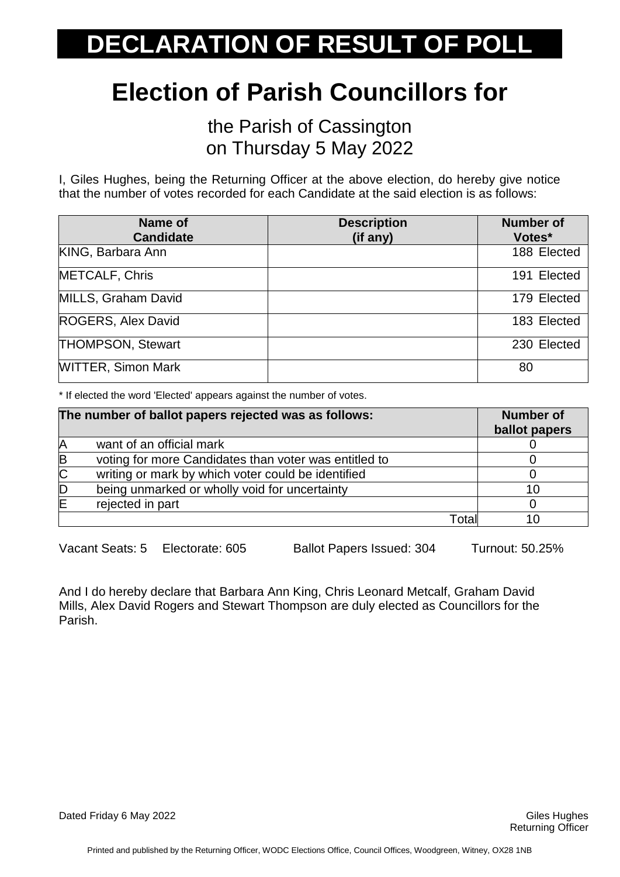## **Election of Parish Councillors for**

the Parish of Cassington on Thursday 5 May 2022

I, Giles Hughes, being the Returning Officer at the above election, do hereby give notice that the number of votes recorded for each Candidate at the said election is as follows:

| Name of<br><b>Candidate</b> | <b>Description</b><br>(if any) | <b>Number of</b><br>Votes* |
|-----------------------------|--------------------------------|----------------------------|
|                             |                                |                            |
| KING, Barbara Ann           |                                | 188 Elected                |
| <b>METCALF, Chris</b>       |                                | 191 Elected                |
| MILLS, Graham David         |                                | 179 Elected                |
| ROGERS, Alex David          |                                | 183 Elected                |
| <b>THOMPSON, Stewart</b>    |                                | 230 Elected                |
| <b>WITTER, Simon Mark</b>   |                                | 80                         |

\* If elected the word 'Elected' appears against the number of votes.

|                       | The number of ballot papers rejected was as follows:  | <b>Number of</b><br>ballot papers |
|-----------------------|-------------------------------------------------------|-----------------------------------|
| A                     | want of an official mark                              |                                   |
| B                     | voting for more Candidates than voter was entitled to |                                   |
| $\overline{\text{C}}$ | writing or mark by which voter could be identified    |                                   |
| D                     | being unmarked or wholly void for uncertainty         | 10                                |
| ΙΕ                    | rejected in part                                      |                                   |
|                       | Totall                                                |                                   |

Vacant Seats: 5 Electorate: 605 Ballot Papers Issued: 304 Turnout: 50.25%

And I do hereby declare that Barbara Ann King, Chris Leonard Metcalf, Graham David Mills, Alex David Rogers and Stewart Thompson are duly elected as Councillors for the Parish.

Dated Friday 6 May 2022 **Giles Hughes** Controllery and the Controllery of the Controllery of Giles Hughes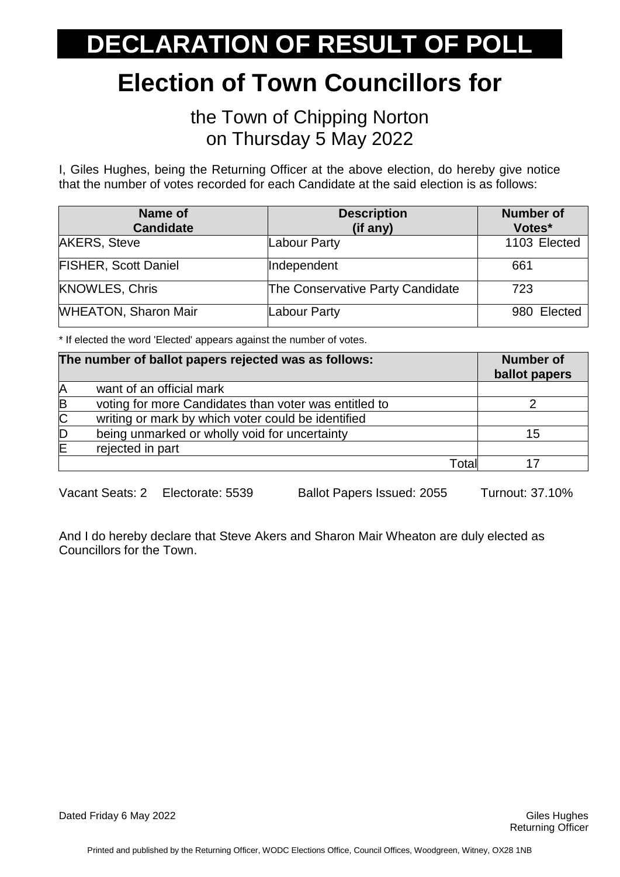### **Election of Town Councillors for**

#### the Town of Chipping Norton on Thursday 5 May 2022

I, Giles Hughes, being the Returning Officer at the above election, do hereby give notice that the number of votes recorded for each Candidate at the said election is as follows:

| Name of<br><b>Candidate</b> | <b>Description</b><br>(if any)   | <b>Number of</b><br>Votes* |
|-----------------------------|----------------------------------|----------------------------|
| <b>AKERS, Steve</b>         | Labour Party                     | 1103 Elected               |
| <b>FISHER, Scott Daniel</b> | Independent                      | 661                        |
| <b>KNOWLES, Chris</b>       | The Conservative Party Candidate | 723                        |
| <b>WHEATON, Sharon Mair</b> | Labour Party                     | 980 Elected                |

\* If elected the word 'Elected' appears against the number of votes.

|                | The number of ballot papers rejected was as follows:  | <b>Number of</b><br>ballot papers |
|----------------|-------------------------------------------------------|-----------------------------------|
| A              | want of an official mark                              |                                   |
| B              | voting for more Candidates than voter was entitled to |                                   |
| $\overline{C}$ | writing or mark by which voter could be identified    |                                   |
| D              | being unmarked or wholly void for uncertainty         | 15                                |
| ΙE             | rejected in part                                      |                                   |
|                | Totall                                                |                                   |

Vacant Seats: 2 Electorate: 5539 Ballot Papers Issued: 2055 Turnout: 37.10%

And I do hereby declare that Steve Akers and Sharon Mair Wheaton are duly elected as Councillors for the Town.